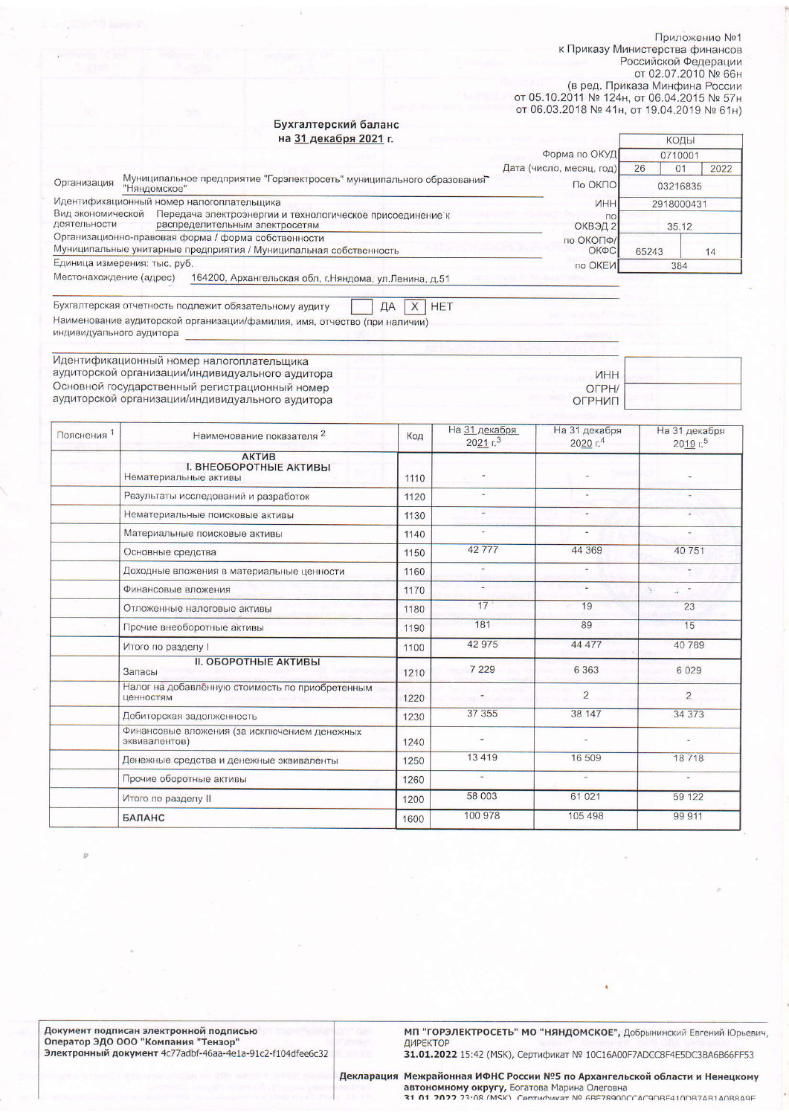Приложение №1 к Приказу Министерства финансов Российской Федерации от 02.07.2010 № 66н (в ред. Приказа Минфина России

от 05.10.2011 № 124н, от 06.04.2015 № 57н от 06.03.2018 № 41н, от 19.04.2019 № 61н)

**MHH** 

OFPH/

ОГРНИП

## Бухгалтерский баланс  $21 \text{ revofus} \ 2021$

| на эт декабря <b>zuz</b> гг.                                                                                                     |                          | КОДЫ                 |      |
|----------------------------------------------------------------------------------------------------------------------------------|--------------------------|----------------------|------|
|                                                                                                                                  | Форма по ОКУД            | 0710001              |      |
|                                                                                                                                  | Дата (число, месяц, год) | 26<br>0 <sub>1</sub> | 2022 |
| Муниципальное предприятие "Горэлектросеть" муниципального образования<br>Организация<br>"Няндомское"                             | По ОКПО                  | 03216835             |      |
| Идентификационный номер налогоплательщика                                                                                        | <b>VIHH</b>              | 2918000431           |      |
| Вид экономической<br>Передача электроэнергии и технологическое присоединение к<br>деятельности<br>распределительным электросетям | $\Gamma$                 | ОКВЭД 2<br>35.12     |      |
| Организационно-правовая форма / форма собственности                                                                              | по ОКОПФ/                |                      |      |
| Муниципальные унитарные предприятия / Муниципальная собственность                                                                | ОКФС                     | 65243                | 14   |
| Единица измерения: тыс. руб.                                                                                                     | по ОКЕИ                  | 384                  |      |
| Местонахождение (адрес)<br>164200, Архангельская обл, г. Няндома, ул. Ленина, д.51                                               |                          |                      |      |

Бухгалтерская отчетность подлежит обязательному аудиту  $X$  HET ДА Наименование аудиторской организации/фамилия, имя, отчество (при наличии) индивидуального аудитора

Идентификационный номер налогоплательщика аудиторской организации/индивидуального аудитора Основной государственный регистрационный номер аудиторской организации/индивидуального аудитора

| <b>Пояснения</b> | Наименование показателя 2                                              | Код  | На 31 декабря<br>2021 r <sup>3</sup> | На 31 декабря<br>2020 г.4 | На 31 декабря<br>2019 г. |
|------------------|------------------------------------------------------------------------|------|--------------------------------------|---------------------------|--------------------------|
|                  | <b>АКТИВ</b><br><b>I. ВНЕОБОРОТНЫЕ АКТИВЫ</b><br>Нематериальные активы | 1110 |                                      |                           |                          |
|                  | Результаты исследований и разработок                                   | 1120 |                                      |                           |                          |
|                  | Нематериальные поисковые активы                                        | 1130 | u                                    | w.                        |                          |
|                  | Материальные поисковые активы                                          | 1140 |                                      | $\ddot{\phantom{1}}$      |                          |
|                  | Основные средства                                                      | 1150 | 42777                                | 44 369                    | 40751                    |
|                  | Доходные вложения в материальные ценности                              | 1160 |                                      |                           |                          |
|                  | Финансовые вложения                                                    | 1170 | ÷                                    | ٠                         | Ŋ.<br>á.                 |
|                  | Отложенные налоговые активы                                            | 1180 | 17                                   | 19                        | 23                       |
|                  | Прочие внеоборотные активы                                             | 1190 | 181                                  | 89                        | 15                       |
|                  | Итого по разделу І                                                     | 1100 | 42 975                               | 44 477                    | 40789                    |
|                  | <b>II. ОБОРОТНЫЕ АКТИВЫ</b><br>Запасы                                  | 1210 | 7 2 2 9                              | 6 3 6 3                   | 6 0 2 9                  |
|                  | Налог на добавленную стоимость по приобретенным<br>ценностям           | 1220 |                                      | $\overline{2}$            | $\overline{2}$           |
|                  | Дебиторская задолженность                                              | 1230 | 37 355                               | 38 147                    | 34 373                   |
|                  | Финансовые вложения (за исключением денежных<br>эквивалентов)          | 1240 |                                      |                           |                          |
|                  | Денежные средства и денежные эквиваленты                               | 1250 | 13419                                | 16 509                    | 18718                    |
|                  | Прочие оборотные активы                                                | 1260 | ٠                                    |                           |                          |
|                  | Итого по разделу II                                                    | 1200 | 58 003                               | 61 021                    | 59 122                   |
|                  | <b>БАЛАНС</b>                                                          | 1600 | 100 978                              | 105 498                   | 99 911                   |

МП "ГОРЭЛЕКТРОСЕТЬ" МО "НЯНДОМСКОЕ", Добрынинский Евгений Юрьевич, ДИРЕКТОР

31.01.2022 15:42 (МSК), Сертификат № 10С16А00F7ADCC8F4E5DC3BA6B66FF53

Декларация Межрайонная ИФНС России №5 по Архангельской области и Ненецкому A STORIO MARY CHARGE MARINE OR CONTROL CONSUMER THE RESIDENCE AND A CONSUMER STORIES TO A 21 01 2022 23:08 (MSK) CONTRACTED BECAUSE TO A 21 01 2022 23:08 (MSK) CONTRACTED BECAUSE TO A RECORD MARINE TO A 2022 23:08 (MSK) CO